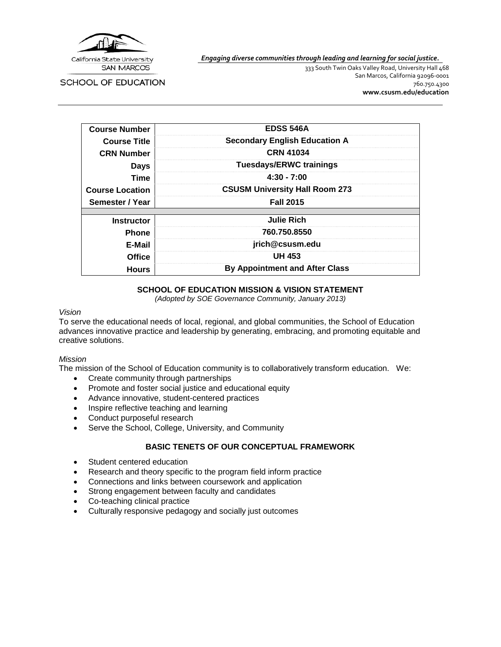

*Engaging diverse communities through leading and learning for social justice.*

**SCHOOL OF EDUCATION** 

333 South Twin Oaks Valley Road, University Hall 468 San Marcos, California 92096-0001 760.750.4300 **[www.csusm.edu/education](http://www.csusm.edu/education)**

| <b>Course Number</b>   | <b>EDSS 546A</b>                      |
|------------------------|---------------------------------------|
| <b>Course Title</b>    | <b>Secondary English Education A</b>  |
| <b>CRN Number</b>      | <b>CRN 41034</b>                      |
| <b>Days</b>            | <b>Tuesdays/ERWC trainings</b>        |
| <b>Time</b>            | $4:30 - 7:00$                         |
| <b>Course Location</b> | <b>CSUSM University Hall Room 273</b> |
| Semester / Year        | <b>Fall 2015</b>                      |
|                        |                                       |
| <b>Instructor</b>      | <b>Julie Rich</b>                     |
| <b>Phone</b>           | 760.750.8550                          |
| E-Mail                 | jrich@csusm.edu                       |
| <b>Office</b>          | <b>UH 453</b>                         |
| <b>Hours</b>           | <b>By Appointment and After Class</b> |

### **SCHOOL OF EDUCATION MISSION & VISION STATEMENT**

*(Adopted by SOE Governance Community, January 2013)*

#### *Vision*

To serve the educational needs of local, regional, and global communities, the School of Education advances innovative practice and leadership by generating, embracing, and promoting equitable and creative solutions.

#### *Mission*

The mission of the School of Education community is to collaboratively transform education. We:

- Create community through partnerships
- Promote and foster social justice and educational equity
- Advance innovative, student-centered practices
- Inspire reflective teaching and learning
- Conduct purposeful research
- Serve the School, College, University, and Community

# **BASIC TENETS OF OUR CONCEPTUAL FRAMEWORK**

- Student centered education
- Research and theory specific to the program field inform practice
- Connections and links between coursework and application
- Strong engagement between faculty and candidates
- Co-teaching clinical practice
- Culturally responsive pedagogy and socially just outcomes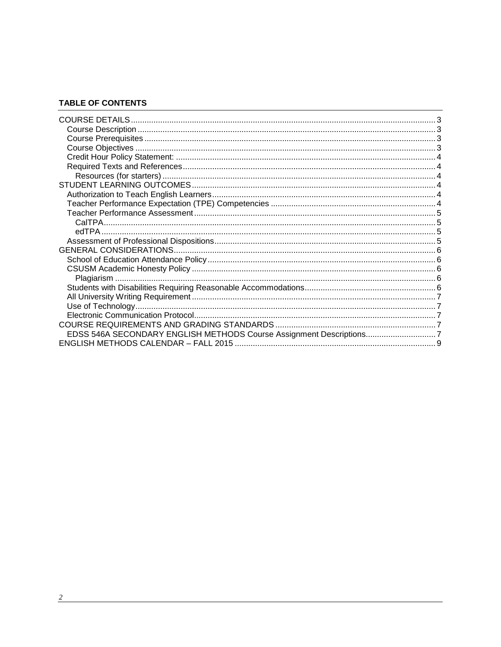# **TABLE OF CONTENTS**

| EDSS 546A SECONDARY ENGLISH METHODS Course Assignment Descriptions7 |  |
|---------------------------------------------------------------------|--|
|                                                                     |  |

<u> 1989 - Johann John Stein, mars and de British and de British and de British and de British and de British an</u>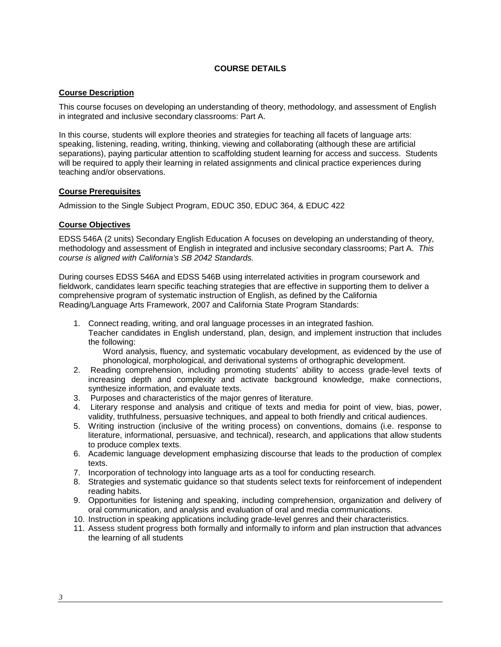### **COURSE DETAILS**

### <span id="page-2-1"></span><span id="page-2-0"></span>**Course Description**

This course focuses on developing an understanding of theory, methodology, and assessment of English in integrated and inclusive secondary classrooms: Part A.

In this course, students will explore theories and strategies for teaching all facets of language arts: speaking, listening, reading, writing, thinking, viewing and collaborating (although these are artificial separations), paying particular attention to scaffolding student learning for access and success. Students will be required to apply their learning in related assignments and clinical practice experiences during teaching and/or observations.

### <span id="page-2-2"></span>**Course Prerequisites**

Admission to the Single Subject Program, EDUC 350, EDUC 364, & EDUC 422

### <span id="page-2-3"></span>**Course Objectives**

EDSS 546A (2 units) Secondary English Education A focuses on developing an understanding of theory, methodology and assessment of English in integrated and inclusive secondary classrooms; Part A. *This course is aligned with California's SB 2042 Standards.* 

During courses EDSS 546A and EDSS 546B using interrelated activities in program coursework and fieldwork, candidates learn specific teaching strategies that are effective in supporting them to deliver a comprehensive program of systematic instruction of English, as defined by the California Reading/Language Arts Framework, 2007 and California State Program Standards:

1. Connect reading, writing, and oral language processes in an integrated fashion. Teacher candidates in English understand, plan, design, and implement instruction that includes the following:

Word analysis, fluency, and systematic vocabulary development, as evidenced by the use of phonological, morphological, and derivational systems of orthographic development.

- 2. Reading comprehension, including promoting students' ability to access grade-level texts of increasing depth and complexity and activate background knowledge, make connections, synthesize information, and evaluate texts.
- 3. Purposes and characteristics of the major genres of literature.
- 4. Literary response and analysis and critique of texts and media for point of view, bias, power, validity, truthfulness, persuasive techniques, and appeal to both friendly and critical audiences.
- 5. Writing instruction (inclusive of the writing process) on conventions, domains (i.e. response to literature, informational, persuasive, and technical), research, and applications that allow students to produce complex texts.
- 6. Academic language development emphasizing discourse that leads to the production of complex texts.
- 7. Incorporation of technology into language arts as a tool for conducting research.
- 8. Strategies and systematic guidance so that students select texts for reinforcement of independent reading habits.
- 9. Opportunities for listening and speaking, including comprehension, organization and delivery of oral communication, and analysis and evaluation of oral and media communications.
- 10. Instruction in speaking applications including grade-level genres and their characteristics.
- 11. Assess student progress both formally and informally to inform and plan instruction that advances the learning of all students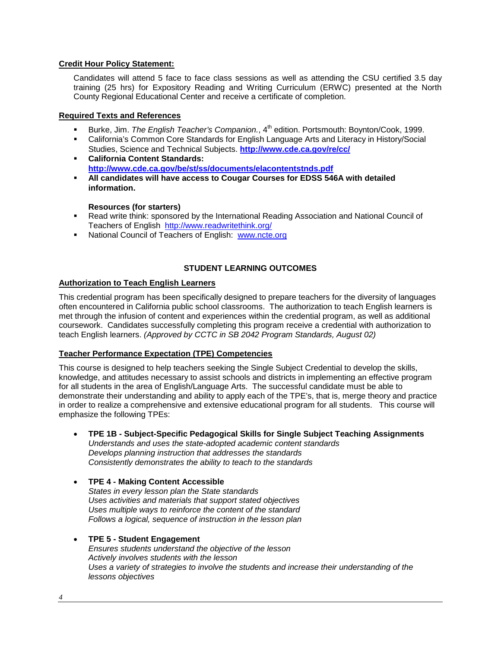## <span id="page-3-0"></span>**Credit Hour Policy Statement:**

Candidates will attend 5 face to face class sessions as well as attending the CSU certified 3.5 day training (25 hrs) for Expository Reading and Writing Curriculum (ERWC) presented at the North County Regional Educational Center and receive a certificate of completion.

## <span id="page-3-1"></span>**Required Texts and References**

- Burke, Jim. *The English Teacher's Companion.*, 4<sup>th</sup> edition. Portsmouth: Boynton/Cook, 1999.
- California's Common Core Standards for English Language Arts and Literacy in History/Social Studies, Science and Technical Subjects. **<http://www.cde.ca.gov/re/cc/>**
- **California Content Standards: <http://www.cde.ca.gov/be/st/ss/documents/elacontentstnds.pdf>**
- **All candidates will have access to Cougar Courses for EDSS 546A with detailed information.**

### **Resources (for starters)**

- <span id="page-3-2"></span> Read write think: sponsored by the International Reading Association and National Council of Teachers of English <http://www.readwritethink.org/>
- National Council of Teachers of English: [www.ncte.org](http://www.ncte.org/)

# **STUDENT LEARNING OUTCOMES**

# <span id="page-3-4"></span><span id="page-3-3"></span>**Authorization to Teach English Learners**

This credential program has been specifically designed to prepare teachers for the diversity of languages often encountered in California public school classrooms. The authorization to teach English learners is met through the infusion of content and experiences within the credential program, as well as additional coursework. Candidates successfully completing this program receive a credential with authorization to teach English learners. *(Approved by CCTC in SB 2042 Program Standards, August 02)*

#### <span id="page-3-5"></span>**Teacher Performance Expectation (TPE) Competencies**

This course is designed to help teachers seeking the Single Subject Credential to develop the skills, knowledge, and attitudes necessary to assist schools and districts in implementing an effective program for all students in the area of English/Language Arts. The successful candidate must be able to demonstrate their understanding and ability to apply each of the TPE's, that is, merge theory and practice in order to realize a comprehensive and extensive educational program for all students. This course will emphasize the following TPEs:

- **TPE 1B - Subject-Specific Pedagogical Skills for Single Subject Teaching Assignments** *Understands and uses the state-adopted academic content standards Develops planning instruction that addresses the standards Consistently demonstrates the ability to teach to the standards*
- **TPE 4 - Making Content Accessible** *States in every lesson plan the State standards Uses activities and materials that support stated objectives Uses multiple ways to reinforce the content of the standard Follows a logical, sequence of instruction in the lesson plan*

#### • **TPE 5 - Student Engagement** *Ensures students understand the objective of the lesson Actively involves students with the lesson Uses a variety of strategies to involve the students and increase their understanding of the lessons objectives*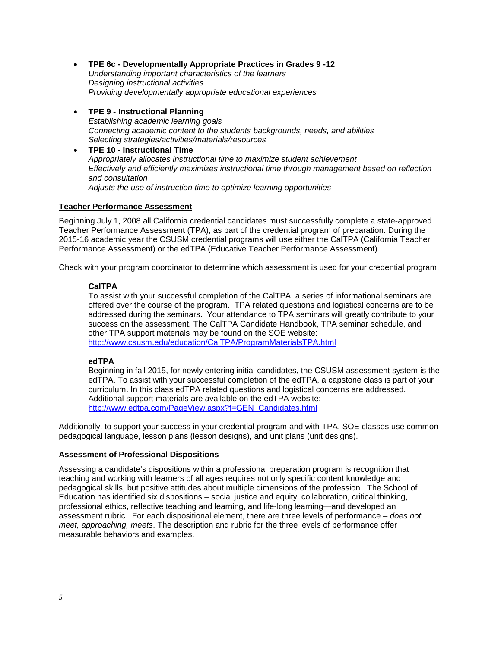- **TPE 6c - Developmentally Appropriate Practices in Grades 9 -12** *Understanding important characteristics of the learners Designing instructional activities Providing developmentally appropriate educational experiences*
- **TPE 9 - Instructional Planning**
	- *Establishing academic learning goals Connecting academic content to the students backgrounds, needs, and abilities Selecting strategies/activities/materials/resources*
- **TPE 10 - Instructional Time** *Appropriately allocates instructional time to maximize student achievement Effectively and efficiently maximizes instructional time through management based on reflection and consultation Adjusts the use of instruction time to optimize learning opportunities*

# <span id="page-4-0"></span>**Teacher Performance Assessment**

Beginning July 1, 2008 all California credential candidates must successfully complete a state-approved Teacher Performance Assessment (TPA), as part of the credential program of preparation. During the 2015-16 academic year the CSUSM credential programs will use either the CalTPA (California Teacher Performance Assessment) or the edTPA (Educative Teacher Performance Assessment).

<span id="page-4-1"></span>Check with your program coordinator to determine which assessment is used for your credential program.

# **CalTPA**

To assist with your successful completion of the CalTPA, a series of informational seminars are offered over the course of the program. TPA related questions and logistical concerns are to be addressed during the seminars. Your attendance to TPA seminars will greatly contribute to your success on the assessment. The CalTPA Candidate Handbook, TPA seminar schedule, and other TPA support materials may be found on the SOE website: <http://www.csusm.edu/education/CalTPA/ProgramMaterialsTPA.html>

# <span id="page-4-2"></span>**edTPA**

Beginning in fall 2015, for newly entering initial candidates, the CSUSM assessment system is the edTPA. To assist with your successful completion of the edTPA, a capstone class is part of your curriculum. In this class edTPA related questions and logistical concerns are addressed. Additional support materials are available on the edTPA website: [http://www.edtpa.com/PageView.aspx?f=GEN\\_Candidates.html](http://www.edtpa.com/PageView.aspx?f=GEN_Candidates.html)

Additionally, to support your success in your credential program and with TPA, SOE classes use common pedagogical language, lesson plans (lesson designs), and unit plans (unit designs).

# <span id="page-4-3"></span>**Assessment of Professional Dispositions**

Assessing a candidate's dispositions within a professional preparation program is recognition that teaching and working with learners of all ages requires not only specific content knowledge and pedagogical skills, but positive attitudes about multiple dimensions of the profession. The School of Education has identified six dispositions – social justice and equity, collaboration, critical thinking, professional ethics, reflective teaching and learning, and life-long learning—and developed an assessment rubric. For each dispositional element, there are three levels of performance – *does not meet, approaching, meets*. The description and rubric for the three levels of performance offer measurable behaviors and examples.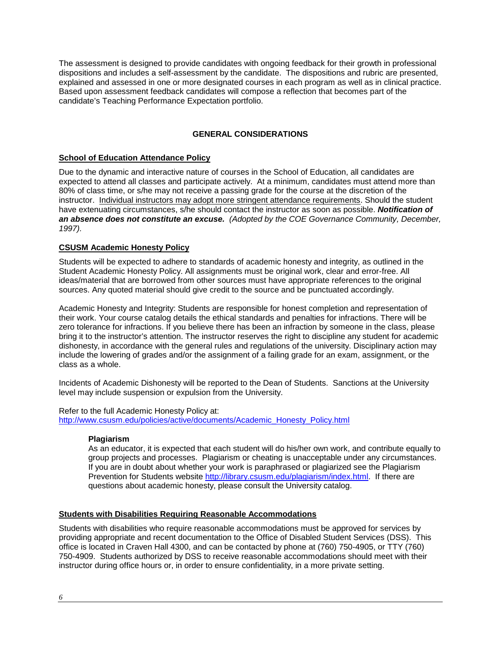The assessment is designed to provide candidates with ongoing feedback for their growth in professional dispositions and includes a self-assessment by the candidate. The dispositions and rubric are presented, explained and assessed in one or more designated courses in each program as well as in clinical practice. Based upon assessment feedback candidates will compose a reflection that becomes part of the candidate's Teaching Performance Expectation portfolio.

# **GENERAL CONSIDERATIONS**

# <span id="page-5-1"></span><span id="page-5-0"></span>**School of Education Attendance Policy**

Due to the dynamic and interactive nature of courses in the School of Education, all candidates are expected to attend all classes and participate actively. At a minimum, candidates must attend more than 80% of class time, or s/he may not receive a passing grade for the course at the discretion of the instructor. Individual instructors may adopt more stringent attendance requirements. Should the student have extenuating circumstances, s/he should contact the instructor as soon as possible. *Notification of an absence does not constitute an excuse. (Adopted by the COE Governance Community, December, 1997).*

### <span id="page-5-2"></span>**CSUSM Academic Honesty Policy**

Students will be expected to adhere to standards of academic honesty and integrity, as outlined in the Student Academic Honesty Policy. All assignments must be original work, clear and error-free. All ideas/material that are borrowed from other sources must have appropriate references to the original sources. Any quoted material should give credit to the source and be punctuated accordingly.

Academic Honesty and Integrity: Students are responsible for honest completion and representation of their work. Your course catalog details the ethical standards and penalties for infractions. There will be zero tolerance for infractions. If you believe there has been an infraction by someone in the class, please bring it to the instructor's attention. The instructor reserves the right to discipline any student for academic dishonesty, in accordance with the general rules and regulations of the university. Disciplinary action may include the lowering of grades and/or the assignment of a failing grade for an exam, assignment, or the class as a whole.

Incidents of Academic Dishonesty will be reported to the Dean of Students. Sanctions at the University level may include suspension or expulsion from the University.

<span id="page-5-3"></span>Refer to the full Academic Honesty Policy at: [http://www.csusm.edu/policies/active/documents/Academic\\_Honesty\\_Policy.html](http://www.csusm.edu/policies/active/documents/Academic_Honesty_Policy.html)

#### **Plagiarism**

As an educator, it is expected that each student will do his/her own work, and contribute equally to group projects and processes. Plagiarism or cheating is unacceptable under any circumstances. If you are in doubt about whether your work is paraphrased or plagiarized see the Plagiarism Prevention for Students website [http://library.csusm.edu/plagiarism/index.html.](http://library.csusm.edu/plagiarism/index.html) If there are questions about academic honesty, please consult the University catalog.

#### <span id="page-5-4"></span>**Students with Disabilities Requiring Reasonable Accommodations**

Students with disabilities who require reasonable accommodations must be approved for services by providing appropriate and recent documentation to the Office of Disabled Student Services (DSS). This office is located in Craven Hall 4300, and can be contacted by phone at (760) 750-4905, or TTY (760) 750-4909. Students authorized by DSS to receive reasonable accommodations should meet with their instructor during office hours or, in order to ensure confidentiality, in a more private setting.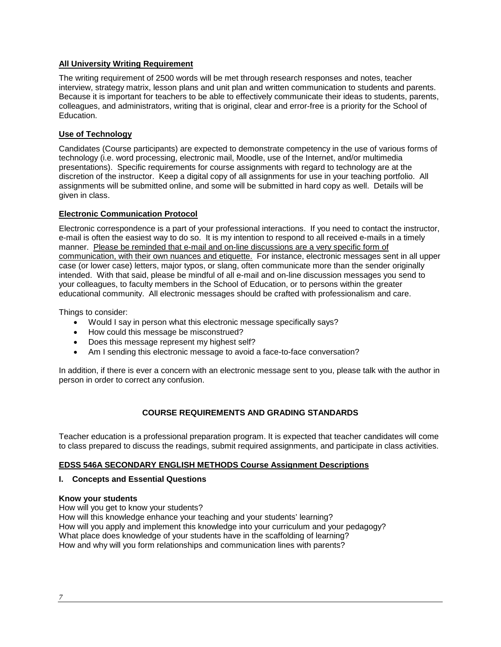## <span id="page-6-0"></span>**All University Writing Requirement**

The writing requirement of 2500 words will be met through research responses and notes, teacher interview, strategy matrix, lesson plans and unit plan and written communication to students and parents. Because it is important for teachers to be able to effectively communicate their ideas to students, parents, colleagues, and administrators, writing that is original, clear and error-free is a priority for the School of Education.

# <span id="page-6-1"></span>**Use of Technology**

Candidates (Course participants) are expected to demonstrate competency in the use of various forms of technology (i.e. word processing, electronic mail, Moodle, use of the Internet, and/or multimedia presentations). Specific requirements for course assignments with regard to technology are at the discretion of the instructor. Keep a digital copy of all assignments for use in your teaching portfolio. All assignments will be submitted online, and some will be submitted in hard copy as well. Details will be given in class.

### <span id="page-6-2"></span>**Electronic Communication Protocol**

Electronic correspondence is a part of your professional interactions. If you need to contact the instructor, e-mail is often the easiest way to do so. It is my intention to respond to all received e-mails in a timely manner. Please be reminded that e-mail and on-line discussions are a very specific form of communication, with their own nuances and etiquette. For instance, electronic messages sent in all upper case (or lower case) letters, major typos, or slang, often communicate more than the sender originally intended. With that said, please be mindful of all e-mail and on-line discussion messages you send to your colleagues, to faculty members in the School of Education, or to persons within the greater educational community. All electronic messages should be crafted with professionalism and care.

Things to consider:

- Would I say in person what this electronic message specifically says?
- How could this message be misconstrued?
- Does this message represent my highest self?
- Am I sending this electronic message to avoid a face-to-face conversation?

In addition, if there is ever a concern with an electronic message sent to you, please talk with the author in person in order to correct any confusion.

# **COURSE REQUIREMENTS AND GRADING STANDARDS**

<span id="page-6-3"></span>Teacher education is a professional preparation program. It is expected that teacher candidates will come to class prepared to discuss the readings, submit required assignments, and participate in class activities.

#### <span id="page-6-4"></span>**EDSS 546A SECONDARY ENGLISH METHODS Course Assignment Descriptions**

#### **I. Concepts and Essential Questions**

#### **Know your students**

How will you get to know your students? How will this knowledge enhance your teaching and your students' learning? How will you apply and implement this knowledge into your curriculum and your pedagogy? What place does knowledge of your students have in the scaffolding of learning? How and why will you form relationships and communication lines with parents?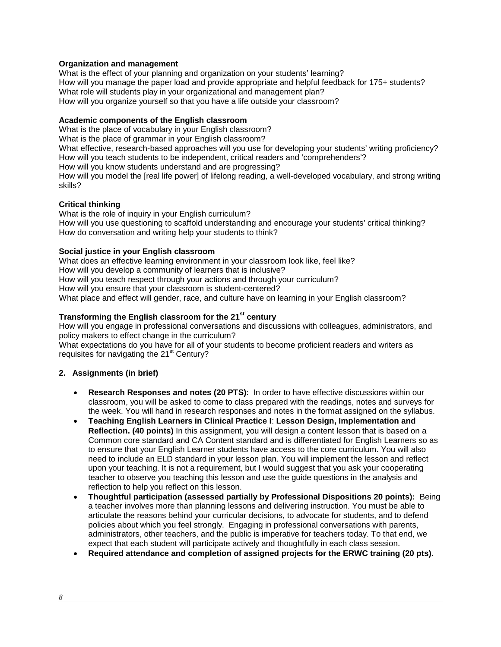## **Organization and management**

What is the effect of your planning and organization on your students' learning? How will you manage the paper load and provide appropriate and helpful feedback for 175+ students? What role will students play in your organizational and management plan? How will you organize yourself so that you have a life outside your classroom?

#### **Academic components of the English classroom**

What is the place of vocabulary in your English classroom? What is the place of grammar in your English classroom? What effective, research-based approaches will you use for developing your students' writing proficiency? How will you teach students to be independent, critical readers and 'comprehenders'? How will you know students understand and are progressing? How will you model the [real life power] of lifelong reading, a well-developed vocabulary, and strong writing skills?

### **Critical thinking**

What is the role of inquiry in your English curriculum? How will you use questioning to scaffold understanding and encourage your students' critical thinking? How do conversation and writing help your students to think?

### **Social justice in your English classroom**

What does an effective learning environment in your classroom look like, feel like? How will you develop a community of learners that is inclusive? How will you teach respect through your actions and through your curriculum? How will you ensure that your classroom is student-centered? What place and effect will gender, race, and culture have on learning in your English classroom?

# **Transforming the English classroom for the 21st century**

How will you engage in professional conversations and discussions with colleagues, administrators, and policy makers to effect change in the curriculum?

What expectations do you have for all of your students to become proficient readers and writers as requisites for navigating the 21<sup>st</sup> Century?

# **2. Assignments (in brief)**

- **Research Responses and notes (20 PTS)**: In order to have effective discussions within our classroom, you will be asked to come to class prepared with the readings, notes and surveys for the week. You will hand in research responses and notes in the format assigned on the syllabus.
- **Teaching English Learners in Clinical Practice I**: **Lesson Design, Implementation and Reflection. (40 points)** In this assignment, you will design a content lesson that is based on a Common core standard and CA Content standard and is differentiated for English Learners so as to ensure that your English Learner students have access to the core curriculum. You will also need to include an ELD standard in your lesson plan. You will implement the lesson and reflect upon your teaching. It is not a requirement, but I would suggest that you ask your cooperating teacher to observe you teaching this lesson and use the guide questions in the analysis and reflection to help you reflect on this lesson.
- **Thoughtful participation (assessed partially by Professional Dispositions 20 points):** Being a teacher involves more than planning lessons and delivering instruction. You must be able to articulate the reasons behind your curricular decisions, to advocate for students, and to defend policies about which you feel strongly. Engaging in professional conversations with parents, administrators, other teachers, and the public is imperative for teachers today. To that end, we expect that each student will participate actively and thoughtfully in each class session.
- **Required attendance and completion of assigned projects for the ERWC training (20 pts).**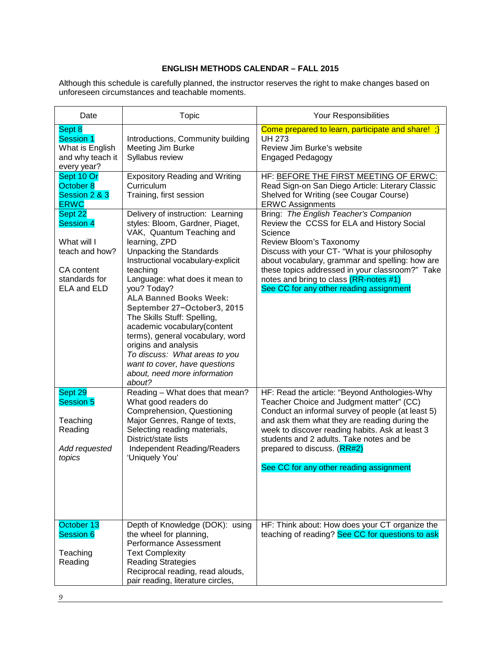# **ENGLISH METHODS CALENDAR – FALL 2015**

<span id="page-8-0"></span>Although this schedule is carefully planned, the instructor reserves the right to make changes based on unforeseen circumstances and teachable moments.

| Date                                                                                                              | Topic                                                                                                                                                                                                                                                                                                                                                                                                                                                                                                                                                        | Your Responsibilities                                                                                                                                                                                                                                                                                                                                                    |
|-------------------------------------------------------------------------------------------------------------------|--------------------------------------------------------------------------------------------------------------------------------------------------------------------------------------------------------------------------------------------------------------------------------------------------------------------------------------------------------------------------------------------------------------------------------------------------------------------------------------------------------------------------------------------------------------|--------------------------------------------------------------------------------------------------------------------------------------------------------------------------------------------------------------------------------------------------------------------------------------------------------------------------------------------------------------------------|
| Sept 8<br>Session 1<br>What is English<br>and why teach it<br>every year?                                         | Introductions, Community building<br><b>Meeting Jim Burke</b><br>Syllabus review                                                                                                                                                                                                                                                                                                                                                                                                                                                                             | Come prepared to learn, participate and share! $\left\{ \cdot \right\}$<br><b>UH 273</b><br>Review Jim Burke's website<br><b>Engaged Pedagogy</b>                                                                                                                                                                                                                        |
| Sept 10 Or<br>October 8<br>Session 2 & 3<br><b>ERWC</b>                                                           | <b>Expository Reading and Writing</b><br>Curriculum<br>Training, first session                                                                                                                                                                                                                                                                                                                                                                                                                                                                               | HF: BEFORE THE FIRST MEETING OF ERWC:<br>Read Sign-on San Diego Article: Literary Classic<br>Shelved for Writing (see Cougar Course)<br><b>ERWC Assignments</b>                                                                                                                                                                                                          |
| Sept 22<br><b>Session 4</b><br>What will I<br>teach and how?<br>CA content<br>standards for<br><b>ELA and ELD</b> | Delivery of instruction: Learning<br>styles: Bloom, Gardner, Piaget,<br>VAK, Quantum Teaching and<br>learning, ZPD<br><b>Unpacking the Standards</b><br>Instructional vocabulary-explicit<br>teaching<br>Language: what does it mean to<br>you? Today?<br><b>ALA Banned Books Week:</b><br>September 27-October3, 2015<br>The Skills Stuff: Spelling,<br>academic vocabulary(content<br>terms), general vocabulary, word<br>origins and analysis<br>To discuss: What areas to you<br>want to cover, have questions<br>about, need more information<br>about? | Bring: The English Teacher's Companion<br>Review the CCSS for ELA and History Social<br>Science<br>Review Bloom's Taxonomy<br>Discuss with your CT- "What is your philosophy<br>about vocabulary, grammar and spelling: how are<br>these topics addressed in your classroom?" Take<br>notes and bring to class (RR-notes #1)<br>See CC for any other reading assignment  |
| Sept 29<br><b>Session 5</b><br>Teaching<br>Reading<br>Add requested<br>topics                                     | Reading - What does that mean?<br>What good readers do<br>Comprehension, Questioning<br>Major Genres, Range of texts,<br>Selecting reading materials,<br>District/state lists<br>Independent Reading/Readers<br>'Uniquely You'                                                                                                                                                                                                                                                                                                                               | HF: Read the article: "Beyond Anthologies-Why<br>Teacher Choice and Judgment matter" (CC)<br>Conduct an informal survey of people (at least 5)<br>and ask them what they are reading during the<br>week to discover reading habits. Ask at least 3<br>students and 2 adults. Take notes and be<br>prepared to discuss. (RR#2)<br>See CC for any other reading assignment |
| October 13<br>Session 6<br>Teaching<br>Reading                                                                    | Depth of Knowledge (DOK): using<br>the wheel for planning,<br>Performance Assessment<br><b>Text Complexity</b><br><b>Reading Strategies</b><br>Reciprocal reading, read alouds,<br>pair reading, literature circles,                                                                                                                                                                                                                                                                                                                                         | HF: Think about: How does your CT organize the<br>teaching of reading? See CC for questions to ask                                                                                                                                                                                                                                                                       |